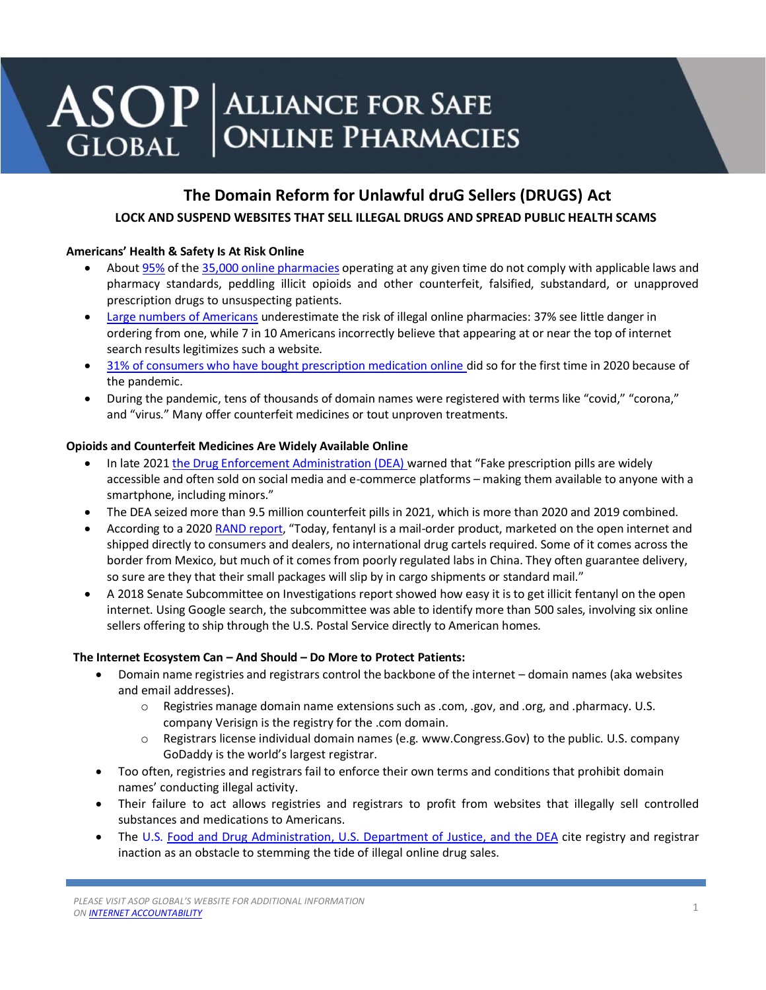# $\textbf{ASOP}$  ALLIANCE FOR SAFE **ONLINE PHARMACIES GLOBAL**

# **The Domain Reform for Unlawful druG Sellers (DRUGS) Act LOCK AND SUSPEND WEBSITES THAT SELL ILLEGAL DRUGS AND SPREAD PUBLIC HEALTH SCAMS**

## **Americans' Health & Safety Is At Risk Online**

- About [95%](https://nabp.pharmacy/wp-content/uploads/2018/09/Internet-Drug-Outlet-Report-September-2018.pdf) of the 35,000 online [pharmacies](https://nabp.pharmacy/wp-content/uploads/2016/08/Internet-Drug-Outlet-Report-August-2017.pdf) operating at any given time do not comply with applicable laws and pharmacy standards, peddling illicit opioids and other counterfeit, falsified, substandard, or unapproved prescription drugs to unsuspecting patients.
- [Large numbers of Americans](https://buysaferx.pharmacy/wp-content/uploads/2020/10/ASOP-Global-Survey-Key-Findings_October-2020-FINAL.pdf) underestimate the risk of illegal online pharmacies: 37% see little danger in ordering from one, while 7 in 10 Americans incorrectly believe that appearing at or near the top of internet search results legitimizes such a website.
- [31% of consumers who have bought prescription medication online d](https://buysaferx.pharmacy/wp-content/uploads/2020/10/ASOP-Global-Survey-Key-Findings_October-2020-FINAL.pdf)id so for the first time in 2020 because of the pandemic.
- During the pandemic, tens of thousands of domain names were registered with terms like "covid," "corona," and "virus." Many offer counterfeit medicines or tout unproven treatments.

### **Opioids and Counterfeit Medicines Are Widely Available Online**

- In late 202[1 the Drug Enforcement Administration \(DEA\) w](https://www.dea.gov/press-releases/2021/09/27/dea-issues-public-safety-alert)arned that "Fake prescription pills are widely accessible and often sold on social media and e-commerce platforms – making them available to anyone with a smartphone, including minors."
- The DEA seized more than 9.5 million counterfeit pills in 2021, which is more than 2020 and 2019 combined.
- According to a 2020 [RAND report](https://www.rand.org/blog/rand-review/2020/01/fentanyl-the-most-dangerous-illegal-drug-in-america.html), "Today, fentanyl is a mail-order product, marketed on the open internet and shipped directly to consumers and dealers, no international drug cartels required. Some of it comes across the border from Mexico, but much of it comes from poorly regulated labs in China. They often guarantee delivery, so sure are they that their small packages will slip by in cargo shipments or standard mail."
- A 2018 Senate Subcommittee on Investigations report showed how easy it is to get illicit fentanyl on the open internet. Using Google search, the subcommittee was able to identify more than 500 sales, involving six online sellers offering to ship through the U.S. Postal Service directly to American homes.

### **The Internet Ecosystem Can – And Should – Do More to Protect Patients:**

- Domain name registries and registrars control the backbone of the internet domain names (aka websites and email addresses).
	- o Registries manage domain name extensions such as .com, .gov, and .org, and .pharmacy. U.S. company Verisign is the registry for the .com domain.
	- $\circ$  Registrars license individual domain names (e.g. www.Congress.Gov) to the public. U.S. company GoDaddy is the world's largest registrar.
- Too often, registries and registrars fail to enforce their own terms and conditions that prohibit domain names' conducting illegal activity.
- Their failure to act allows registries and registrars to profit from websites that illegally sell controlled substances and medications to Americans.
- The U.S. [Food and Drug Administration, U.S. Department of Justice, and the DEA](https://asopfoundation.pharmacy/wp-content/uploads/2018/11/DAshley-ASOP-Global-Foundation-Research-Symposium-Presentation-11.14.2018.pdf) cite registry and registrar inaction as an obstacle to stemming the tide of illegal online drug sales.